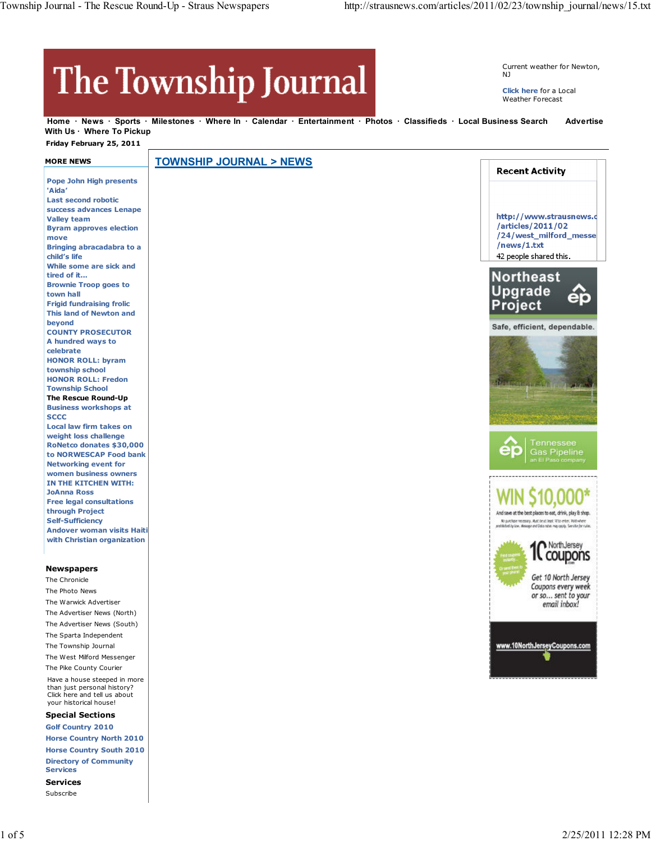## The Township Journal

Current weather for Newton, NJ

**Click here** for a Local Weather Forecast

Home · News · Sports · Milestones · Where In · Calendar · Entertainment · Photos · Classifieds · Local Business Search Advertise With Us · Where To Pickup

 **Friday February 25, 2011**

| <b>MORE NEWS</b>                                            | <b>TOWNSHIP JOURNAL &gt; NEWS</b> |                                                                                                                                                |
|-------------------------------------------------------------|-----------------------------------|------------------------------------------------------------------------------------------------------------------------------------------------|
|                                                             |                                   | <b>Recent Activity</b>                                                                                                                         |
| <b>Pope John High presents</b>                              |                                   |                                                                                                                                                |
| 'Aida'                                                      |                                   |                                                                                                                                                |
| <b>Last second robotic</b><br>success advances Lenape       |                                   |                                                                                                                                                |
| <b>Valley team</b>                                          |                                   | http://www.strausnews.c                                                                                                                        |
| <b>Byram approves election</b>                              |                                   | /articles/2011/02                                                                                                                              |
| move                                                        |                                   | /24/west_milford_messe                                                                                                                         |
| Bringing abracadabra to a                                   |                                   | /news/1.txt                                                                                                                                    |
| child's life                                                |                                   | 42 people shared this.                                                                                                                         |
| While some are sick and                                     |                                   |                                                                                                                                                |
| tired of it                                                 |                                   | <b>Northeast</b>                                                                                                                               |
| <b>Brownie Troop goes to</b>                                |                                   | <b>Upgrade</b>                                                                                                                                 |
| town hall<br><b>Frigid fundraising frolic</b>               |                                   |                                                                                                                                                |
| <b>This land of Newton and</b>                              |                                   | Project                                                                                                                                        |
| beyond                                                      |                                   |                                                                                                                                                |
| <b>COUNTY PROSECUTOR</b>                                    |                                   | Safe, efficient, dependable.                                                                                                                   |
| A hundred ways to                                           |                                   |                                                                                                                                                |
| celebrate                                                   |                                   |                                                                                                                                                |
| <b>HONOR ROLL: byram</b>                                    |                                   |                                                                                                                                                |
| township school                                             |                                   |                                                                                                                                                |
| <b>HONOR ROLL: Fredon</b><br><b>Township School</b>         |                                   |                                                                                                                                                |
| The Rescue Round-Up                                         |                                   |                                                                                                                                                |
| <b>Business workshops at</b>                                |                                   |                                                                                                                                                |
| <b>SCCC</b>                                                 |                                   |                                                                                                                                                |
| Local law firm takes on                                     |                                   |                                                                                                                                                |
| weight loss challenge                                       |                                   |                                                                                                                                                |
| RoNetco donates \$30,000                                    |                                   | Tennessee<br>O<br><b>Gas Pipeline</b>                                                                                                          |
| to NORWESCAP Food bank                                      |                                   | an El Paso company                                                                                                                             |
| <b>Networking event for</b><br>women business owners        |                                   |                                                                                                                                                |
| IN THE KITCHEN WITH:                                        |                                   |                                                                                                                                                |
| <b>JoAnna Ross</b>                                          |                                   |                                                                                                                                                |
| <b>Free legal consultations</b>                             |                                   |                                                                                                                                                |
| through Project                                             |                                   | And save at the best places to eat, drink, play & shop.                                                                                        |
| <b>Self-Sufficiency</b>                                     |                                   | No purchase recessary. Must be at least 18 to enter. Wild where<br>prethlicited by low. Message and Data ratios may apply. See site for rules. |
| <b>Andover woman visits Haiti</b>                           |                                   |                                                                                                                                                |
| with Christian organization                                 |                                   | NorthJersey                                                                                                                                    |
|                                                             |                                   | coupons                                                                                                                                        |
| <b>Newspapers</b>                                           |                                   |                                                                                                                                                |
| The Chronicle                                               |                                   | Get 10 North Jersey                                                                                                                            |
| The Photo News                                              |                                   | Coupons every week                                                                                                                             |
| The Warwick Advertiser                                      |                                   | or so sent to your                                                                                                                             |
| The Advertiser News (North)                                 |                                   | email inbox!                                                                                                                                   |
|                                                             |                                   |                                                                                                                                                |
| The Advertiser News (South)                                 |                                   |                                                                                                                                                |
| The Sparta Independent                                      |                                   | www.10NorthJerseyCoupons.com                                                                                                                   |
| The Township Journal                                        |                                   |                                                                                                                                                |
| The West Milford Messenger                                  |                                   |                                                                                                                                                |
| The Pike County Courier                                     |                                   |                                                                                                                                                |
| Have a house steeped in more<br>than just personal history? |                                   |                                                                                                                                                |
| Click here and tell us about                                |                                   |                                                                                                                                                |
| your historical house!                                      |                                   |                                                                                                                                                |
| <b>Special Sections</b>                                     |                                   |                                                                                                                                                |
| <b>Golf Country 2010</b>                                    |                                   |                                                                                                                                                |
| <b>Horse Country North 2010</b>                             |                                   |                                                                                                                                                |

**Services**

**Horse Country South 2010 Directory of Community**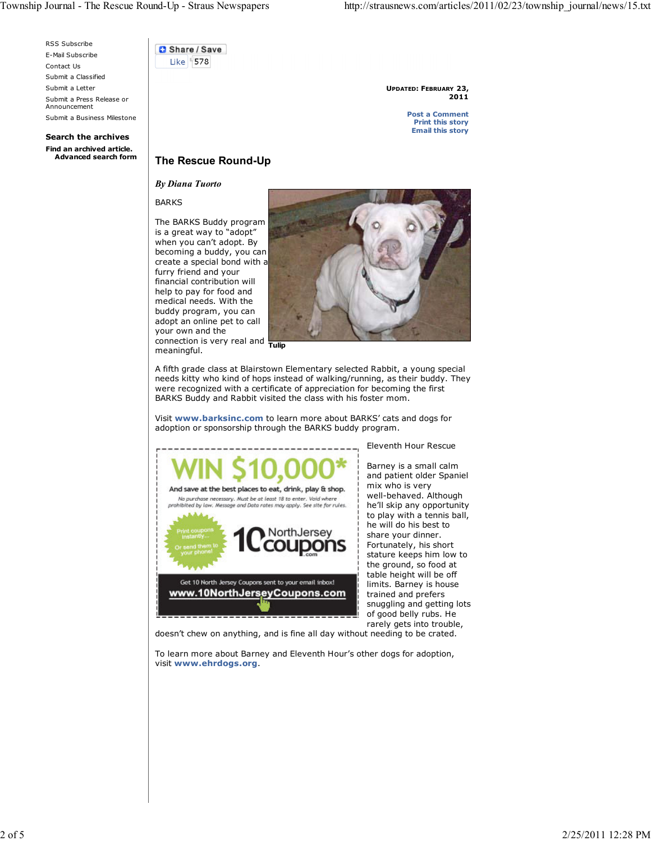RSS Subscribe E-Mail Subscribe Contact Us Submit a Classified Submit a Letter Submit a Press Release or Announcement Submit a Business Milestone

**Search the archives Find an archived article.** Share / Save Like **578** 

> **UPDATED: FEBRUARY 23, 2011**

> > **Post a Comment Print this story Email this story**

## **The Rescue Round-Up**

*By Diana Tuorto*

BARKS

connection is very real and **Tulip** The BARKS Buddy program is a great way to "adopt" when you can't adopt. By becoming a buddy, you can create a special bond with a furry friend and your financial contribution will help to pay for food and medical needs. With the buddy program, you can adopt an online pet to call your own and the meaningful.



A fifth grade class at Blairstown Elementary selected Rabbit, a young special needs kitty who kind of hops instead of walking/running, as their buddy. They were recognized with a certificate of appreciation for becoming the first

BARKS Buddy and Rabbit visited the class with his foster mom.

Visit **www.barksinc.com** to learn more about BARKS' cats and dogs for adoption or sponsorship through the BARKS buddy program.



Eleventh Hour Rescue

Barney is a small calm and patient older Spaniel mix who is very well-behaved. Although he'll skip any opportunity to play with a tennis ball, he will do his best to share your dinner. Fortunately, his short stature keeps him low to the ground, so food at table height will be off limits. Barney is house trained and prefers snuggling and getting lots of good belly rubs. He rarely gets into trouble,

doesn't chew on anything, and is fine all day without needing to be crated.

To learn more about Barney and Eleventh Hour's other dogs for adoption, visit **www.ehrdogs.org**.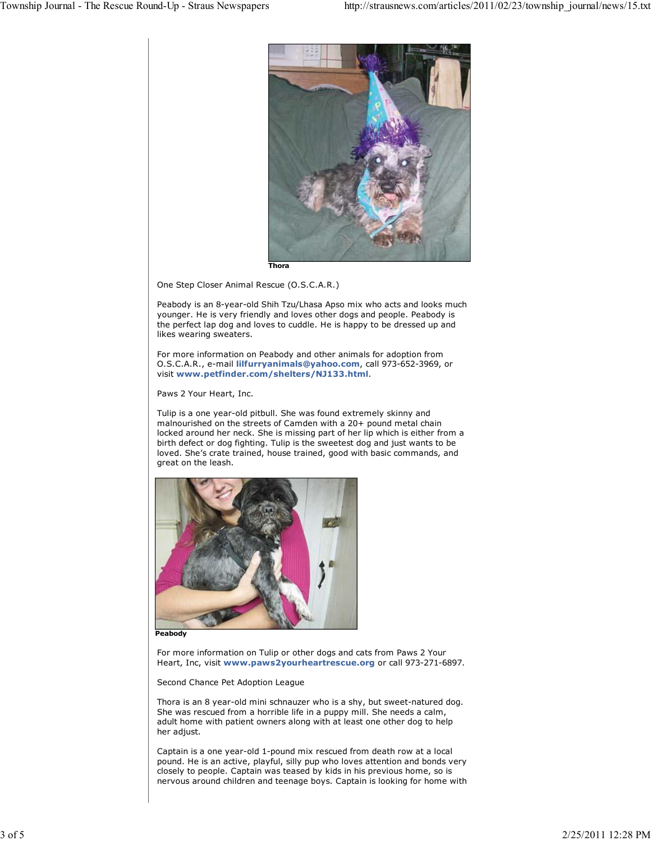

One Step Closer Animal Rescue (O.S.C.A.R.)

Peabody is an 8-year-old Shih Tzu/Lhasa Apso mix who acts and looks much younger. He is very friendly and loves other dogs and people. Peabody is the perfect lap dog and loves to cuddle. He is happy to be dressed up and likes wearing sweaters.

For more information on Peabody and other animals for adoption from O.S.C.A.R., e-mail **lilfurryanimals@yahoo.com**, call 973-652-3969, or visit **www.petfinder.com/shelters/NJ133.html**.

Paws 2 Your Heart, Inc.

Tulip is a one year-old pitbull. She was found extremely skinny and malnourished on the streets of Camden with a 20+ pound metal chain locked around her neck. She is missing part of her lip which is either from a birth defect or dog fighting. Tulip is the sweetest dog and just wants to be loved. She's crate trained, house trained, good with basic commands, and great on the leash.



**Peabody**

For more information on Tulip or other dogs and cats from Paws 2 Your Heart, Inc, visit **www.paws2yourheartrescue.org** or call 973-271-6897.

Second Chance Pet Adoption League

Thora is an 8 year-old mini schnauzer who is a shy, but sweet-natured dog. She was rescued from a horrible life in a puppy mill. She needs a calm, adult home with patient owners along with at least one other dog to help her adjust.

Captain is a one year-old 1-pound mix rescued from death row at a local pound. He is an active, playful, silly pup who loves attention and bonds very closely to people. Captain was teased by kids in his previous home, so is nervous around children and teenage boys. Captain is looking for home with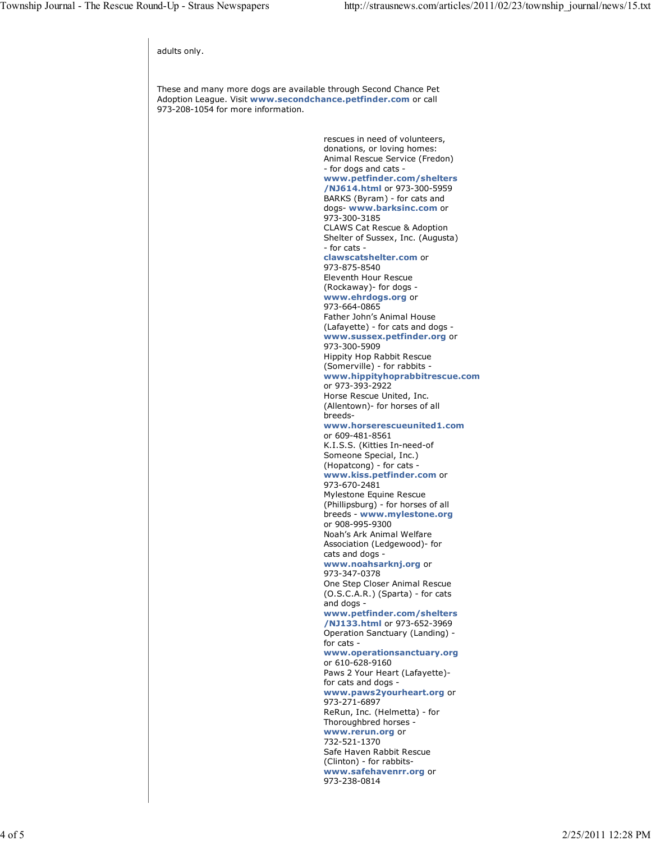rescues in need of volunteers, donations, or loving homes: Animal Rescue Service (Fredon) - for dogs and cats **www.petfinder.com/shelters /NJ614.html** or 973-300-5959 BARKS (Byram) - for cats and dogs- **www.barksinc.com** or 973-300-3185 CLAWS Cat Rescue & Adoption Shelter of Sussex, Inc. (Augusta) - for cats **clawscatshelter.com** or 973-875-8540 Eleventh Hour Rescue (Rockaway)- for dogs **www.ehrdogs.org** or 973-664-0865 Father John's Animal House (Lafayette) - for cats and dogs **www.sussex.petfinder.org** or 973-300-5909 Hippity Hop Rabbit Rescue (Somerville) - for rabbits **www.hippityhoprabbitrescue.com** or 973-393-2922 Horse Rescue United, Inc. (Allentown)- for horses of all breeds**www.horserescueunited1.com** or 609-481-8561 K.I.S.S. (Kitties In-need-of Someone Special, Inc.) (Hopatcong) - for cats **www.kiss.petfinder.com** or 973-670-2481 Mylestone Equine Rescue (Phillipsburg) - for horses of all breeds - **www.mylestone.org** or 908-995-9300 Noah's Ark Animal Welfare Association (Ledgewood)- for cats and dogs **www.noahsarknj.org** or 973-347-0378 One Step Closer Animal Rescue (O.S.C.A.R.) (Sparta) - for cats and dogs **www.petfinder.com/shelters /NJ133.html** or 973-652-3969 Operation Sanctuary (Landing) for cats **www.operationsanctuary.org** or 610-628-9160 Paws 2 Your Heart (Lafayette) for cats and dogs **www.paws2yourheart.org** or 973-271-6897 ReRun, Inc. (Helmetta) - for Thoroughbred horses **www.rerun.org** or 732-521-1370 Safe Haven Rabbit Rescue (Clinton) - for rabbits**www.safehavenrr.org** or 973-238-0814 adults only. These and many more dogs are available through Second Chance Pet Adoption League. Visit **www.secondchance.petfinder.com** or call 973-208-1054 for more information.